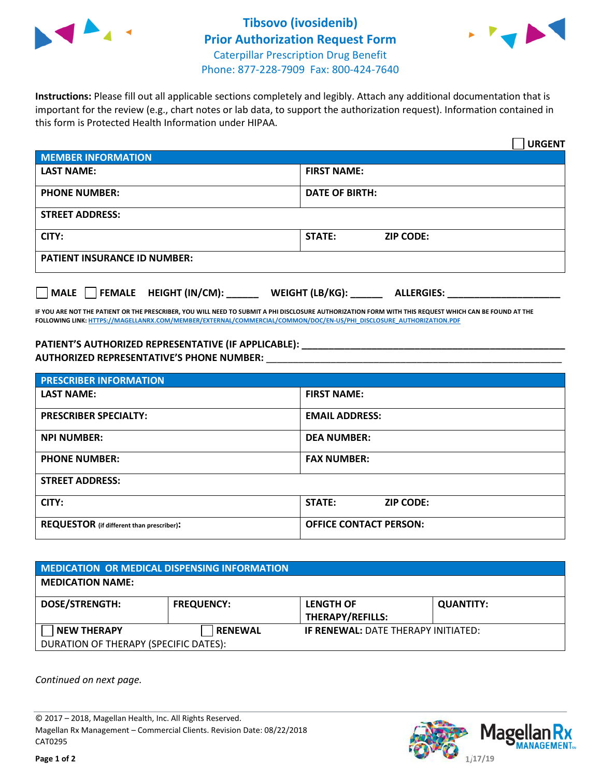



**Instructions:** Please fill out all applicable sections completely and legibly. Attach any additional documentation that is important for the review (e.g., chart notes or lab data, to support the authorization request). Information contained in this form is Protected Health Information under HIPAA.

|                                        | <b>URGENT</b>                        |  |
|----------------------------------------|--------------------------------------|--|
| <b>MEMBER INFORMATION</b>              |                                      |  |
| <b>LAST NAME:</b>                      | <b>FIRST NAME:</b>                   |  |
| <b>PHONE NUMBER:</b>                   | <b>DATE OF BIRTH:</b>                |  |
| <b>STREET ADDRESS:</b>                 |                                      |  |
| CITY:                                  | <b>ZIP CODE:</b><br>STATE:           |  |
| <b>PATIENT INSURANCE ID NUMBER:</b>    |                                      |  |
| FEMALE HEIGHT (IN/CM):<br>$\vert$ MALE | WEIGHT (LB/KG):<br><b>ALLERGIES:</b> |  |

**IF YOU ARE NOT THE PATIENT OR THE PRESCRIBER, YOU WILL NEED TO SUBMIT A PHI DISCLOSURE AUTHORIZATION FORM WITH THIS REQUEST WHICH CAN BE FOUND AT THE FOLLOWING LINK: HTTPS://MAGELLANRX.COM/MEMBER/EXTERNAL/COMMERCIAL/COMMON/DOC/EN-US/PHI\_DISCLOSURE\_AUTHORIZATION.PDF**

**PATIENT'S AUTHORIZED REPRESENTATIVE (IF APPLICABLE): \_\_\_\_\_\_\_\_\_\_\_\_\_\_\_\_\_\_\_\_\_\_\_\_\_\_\_\_\_\_\_\_\_\_\_\_\_\_\_\_\_\_\_\_\_\_\_\_\_ AUTHORIZED REPRESENTATIVE'S PHONE NUMBER:** \_\_\_\_\_\_\_\_\_\_\_\_\_\_\_\_\_\_\_\_\_\_\_\_\_\_\_\_\_\_\_\_\_\_\_\_\_\_\_\_\_\_\_\_\_\_\_\_\_\_\_\_\_\_\_

| <b>PRESCRIBER INFORMATION</b>             |                               |  |  |  |
|-------------------------------------------|-------------------------------|--|--|--|
| <b>LAST NAME:</b>                         | <b>FIRST NAME:</b>            |  |  |  |
| <b>PRESCRIBER SPECIALTY:</b>              | <b>EMAIL ADDRESS:</b>         |  |  |  |
| <b>NPI NUMBER:</b>                        | <b>DEA NUMBER:</b>            |  |  |  |
| <b>PHONE NUMBER:</b>                      | <b>FAX NUMBER:</b>            |  |  |  |
| <b>STREET ADDRESS:</b>                    |                               |  |  |  |
| CITY:                                     | STATE:<br><b>ZIP CODE:</b>    |  |  |  |
| REQUESTOR (if different than prescriber): | <b>OFFICE CONTACT PERSON:</b> |  |  |  |

| <b>MEDICATION OR MEDICAL DISPENSING INFORMATION</b> |                   |                                            |                  |  |  |
|-----------------------------------------------------|-------------------|--------------------------------------------|------------------|--|--|
| <b>MEDICATION NAME:</b>                             |                   |                                            |                  |  |  |
| <b>DOSE/STRENGTH:</b>                               | <b>FREQUENCY:</b> | <b>LENGTH OF</b><br>THERAPY/REFILLS:       | <b>QUANTITY:</b> |  |  |
| <b>NEW THERAPY</b>                                  | <b>RENEWAL</b>    | <b>IF RENEWAL: DATE THERAPY INITIATED:</b> |                  |  |  |
| DURATION OF THERAPY (SPECIFIC DATES):               |                   |                                            |                  |  |  |

*Continued on next page.* 

© 2017 – 2018, Magellan Health, Inc. All Rights Reserved. Magellan Rx Management – Commercial Clients. Revision Date: 08/22/2018 CAT0295